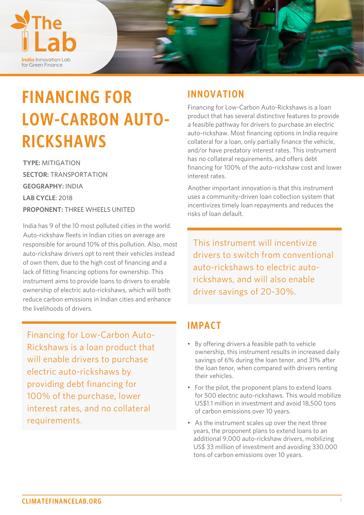

# **FINANCING FOR LOW-CARBON AUTO-RICKSHAWS**

**TYPE:** MITIGATION **SECTOR:** TRANSPORTATION **GEOGRAPHY:** INDIA **LAB CYCLE**: 2018 **PROPONENT:** THREE WHEELS UNITED

India has 9 of the 10 most polluted cities in the world. Auto-rickshaw fleets in Indian cities on average are responsible for around 10% of this pollution. Also, most auto-rickshaw drivers opt to rent their vehicles instead of own them, due to the high cost of financing and a lack of fitting financing options for ownership. This instrument aims to provide loans to drivers to enable ownership of electric auto-rickshaws, which will both reduce carbon emissions in Indian cities and enhance the livelihoods of drivers.

Financing for Low-Carbon Auto-Rickshaws is a loan product that will enable drivers to purchase electric auto-rickshaws by providing debt financing for 100% of the purchase, lower interest rates, and no collateral requirements.

## **INNOVATION**

Financing for Low-Carbon Auto-Rickshaws is a loan product that has several distinctive features to provide a feasible pathway for drivers to purchase an electric auto-rickshaw. Most financing options in India require collateral for a loan, only partially finance the vehicle, and/or have predatory interest rates. This instrument has no collateral requirements, and offers debt financing for 100% of the auto-rickshaw cost and lower interest rates.

Another important innovation is that this instrument uses a community-driven loan collection system that incentivizes timely loan repayments and reduces the risks of loan default.

This instrument will incentivize drivers to switch from conventional auto-rickshaws to electric autorickshaws, and will also enable driver savings of 20-30%.

## **IMPACT**

- By offering drivers a feasible path to vehicle ownership, this instrument results in increased daily savings of 6% during the loan tenor, and 31% after the loan tenor, when compared with drivers renting their vehicles.
- For the pilot, the proponent plans to extend loans for 500 electric auto-rickshaws. This would mobilize US\$1.1 million in investment and avoid 18,500 tons of carbon emissions over 10 years.
- As the instrument scales up over the next three years, the proponent plans to extend loans to an additional 9,000 auto-rickshaw drivers, mobilizing US\$ 33 million of investment and avoiding 330,000 tons of carbon emissions over 10 years.